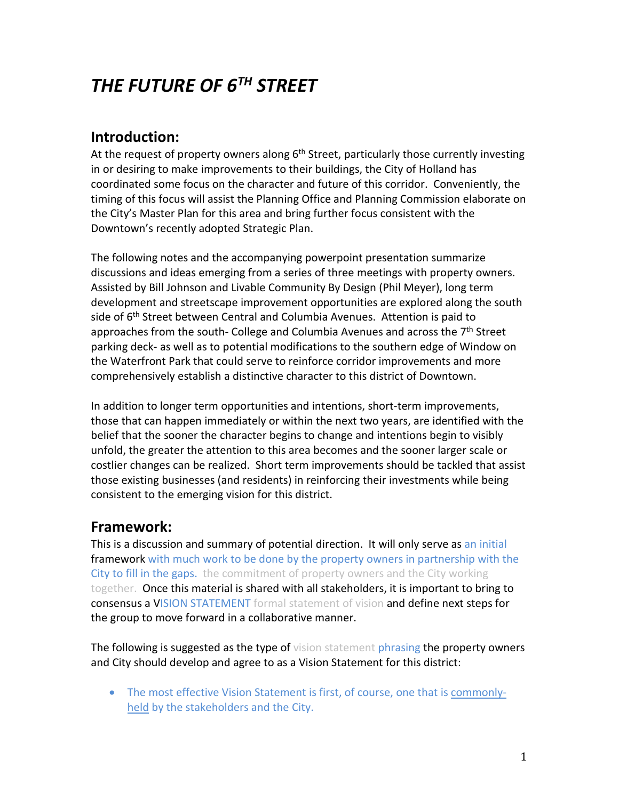# *THE FUTURE OF 6TH STREET*

# **Introduction:**

At the request of property owners along 6<sup>th</sup> Street, particularly those currently investing in or desiring to make improvements to their buildings, the City of Holland has coordinated some focus on the character and future of this corridor. Conveniently, the timing of this focus will assist the Planning Office and Planning Commission elaborate on the City's Master Plan for this area and bring further focus consistent with the Downtown's recently adopted Strategic Plan.

The following notes and the accompanying powerpoint presentation summarize discussions and ideas emerging from a series of three meetings with property owners. Assisted by Bill Johnson and Livable Community By Design (Phil Meyer), long term development and streetscape improvement opportunities are explored along the south side of 6<sup>th</sup> Street between Central and Columbia Avenues. Attention is paid to approaches from the south- College and Columbia Avenues and across the 7<sup>th</sup> Street parking deck- as well as to potential modifications to the southern edge of Window on the Waterfront Park that could serve to reinforce corridor improvements and more comprehensively establish a distinctive character to this district of Downtown.

In addition to longer term opportunities and intentions, short-term improvements, those that can happen immediately or within the next two years, are identified with the belief that the sooner the character begins to change and intentions begin to visibly unfold, the greater the attention to this area becomes and the sooner larger scale or costlier changes can be realized. Short term improvements should be tackled that assist those existing businesses (and residents) in reinforcing their investments while being consistent to the emerging vision for this district.

### **Framework:**

This is a discussion and summary of potential direction. It will only serve as an initial framework with much work to be done by the property owners in partnership with the City to fill in the gaps. the commitment of property owners and the City working together. Once this material is shared with all stakeholders, it is important to bring to consensus a VISION STATEMENT formal statement of vision and define next steps for the group to move forward in a collaborative manner.

The following is suggested as the type of vision statement phrasing the property owners and City should develop and agree to as a Vision Statement for this district:

• The most effective Vision Statement is first, of course, one that is commonlyheld by the stakeholders and the City.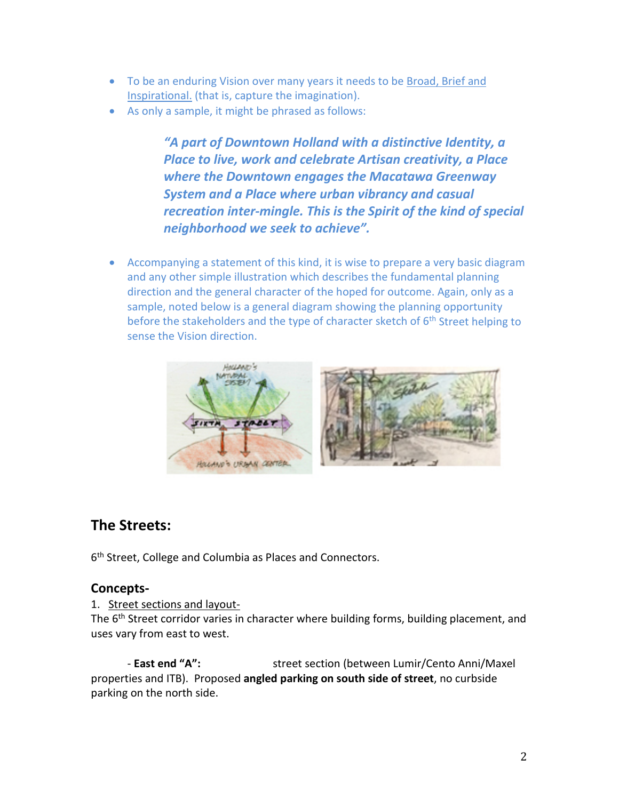- To be an enduring Vision over many years it needs to be Broad, Brief and Inspirational. (that is, capture the imagination).
- As only a sample, it might be phrased as follows:

*"A part of Downtown Holland with a distinctive Identity, a Place to live, work and celebrate Artisan creativity, a Place where the Downtown engages the Macatawa Greenway System and a Place where urban vibrancy and casual recreation inter-mingle. This is the Spirit of the kind of special neighborhood we seek to achieve".*

• Accompanying a statement of this kind, it is wise to prepare a very basic diagram and any other simple illustration which describes the fundamental planning direction and the general character of the hoped for outcome. Again, only as a sample, noted below is a general diagram showing the planning opportunity before the stakeholders and the type of character sketch of 6<sup>th</sup> Street helping to sense the Vision direction.



#### **The Streets:**

6<sup>th</sup> Street, College and Columbia as Places and Connectors.

#### **Concepts-**

#### 1. Street sections and layout-

The 6<sup>th</sup> Street corridor varies in character where building forms, building placement, and uses vary from east to west.

- **East end "A":** street section (between Lumir/Cento Anni/Maxel properties and ITB). Proposed **angled parking on south side of street**, no curbside parking on the north side.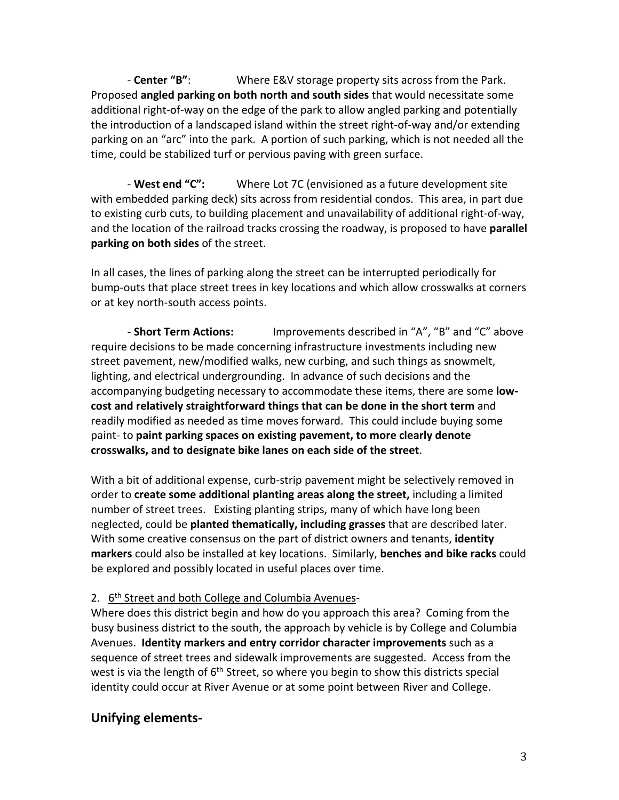- **Center "B"**: Where E&V storage property sits across from the Park. Proposed **angled parking on both north and south sides** that would necessitate some additional right-of-way on the edge of the park to allow angled parking and potentially the introduction of a landscaped island within the street right-of-way and/or extending parking on an "arc" into the park. A portion of such parking, which is not needed all the time, could be stabilized turf or pervious paving with green surface.

- **West end "C":** Where Lot 7C (envisioned as a future development site with embedded parking deck) sits across from residential condos. This area, in part due to existing curb cuts, to building placement and unavailability of additional right-of-way, and the location of the railroad tracks crossing the roadway, is proposed to have **parallel parking on both sides** of the street.

In all cases, the lines of parking along the street can be interrupted periodically for bump-outs that place street trees in key locations and which allow crosswalks at corners or at key north-south access points.

- **Short Term Actions:** Improvements described in "A", "B" and "C" above require decisions to be made concerning infrastructure investments including new street pavement, new/modified walks, new curbing, and such things as snowmelt, lighting, and electrical undergrounding. In advance of such decisions and the accompanying budgeting necessary to accommodate these items, there are some **lowcost and relatively straightforward things that can be done in the short term** and readily modified as needed as time moves forward. This could include buying some paint- to **paint parking spaces on existing pavement, to more clearly denote crosswalks, and to designate bike lanes on each side of the street**.

With a bit of additional expense, curb-strip pavement might be selectively removed in order to **create some additional planting areas along the street,** including a limited number of street trees. Existing planting strips, many of which have long been neglected, could be **planted thematically, including grasses** that are described later. With some creative consensus on the part of district owners and tenants, **identity markers** could also be installed at key locations. Similarly, **benches and bike racks** could be explored and possibly located in useful places over time.

#### 2. 6<sup>th</sup> Street and both College and Columbia Avenues-

Where does this district begin and how do you approach this area? Coming from the busy business district to the south, the approach by vehicle is by College and Columbia Avenues. **Identity markers and entry corridor character improvements** such as a sequence of street trees and sidewalk improvements are suggested. Access from the west is via the length of 6<sup>th</sup> Street, so where you begin to show this districts special identity could occur at River Avenue or at some point between River and College.

#### **Unifying elements-**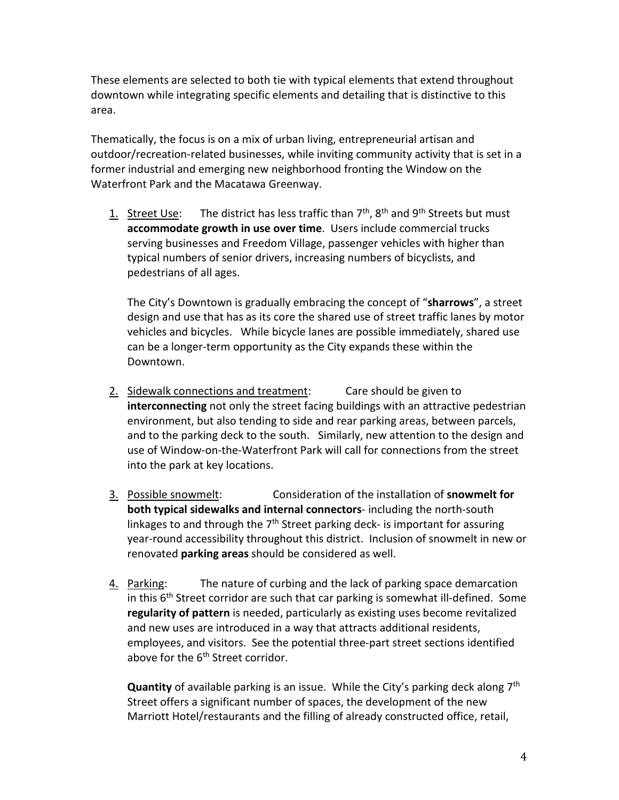These elements are selected to both tie with typical elements that extend throughout downtown while integrating specific elements and detailing that is distinctive to this area.

Thematically, the focus is on a mix of urban living, entrepreneurial artisan and outdoor/recreation-related businesses, while inviting community activity that is set in a former industrial and emerging new neighborhood fronting the Window on the Waterfront Park and the Macatawa Greenway.

1. Street Use: The district has less traffic than  $7<sup>th</sup>$ ,  $8<sup>th</sup>$  and  $9<sup>th</sup>$  Streets but must **accommodate growth in use over time**. Users include commercial trucks serving businesses and Freedom Village, passenger vehicles with higher than typical numbers of senior drivers, increasing numbers of bicyclists, and pedestrians of all ages.

The City's Downtown is gradually embracing the concept of "**sharrows**", a street design and use that has as its core the shared use of street traffic lanes by motor vehicles and bicycles. While bicycle lanes are possible immediately, shared use can be a longer-term opportunity as the City expands these within the Downtown.

- 2. Sidewalk connections and treatment: Care should be given to **interconnecting** not only the street facing buildings with an attractive pedestrian environment, but also tending to side and rear parking areas, between parcels, and to the parking deck to the south. Similarly, new attention to the design and use of Window-on-the-Waterfront Park will call for connections from the street into the park at key locations.
- 3. Possible snowmelt: Consideration of the installation of **snowmelt for both typical sidewalks and internal connectors**- including the north-south linkages to and through the  $7<sup>th</sup>$  Street parking deck- is important for assuring year-round accessibility throughout this district. Inclusion of snowmelt in new or renovated **parking areas** should be considered as well.
- 4. Parking: The nature of curbing and the lack of parking space demarcation in this  $6<sup>th</sup>$  Street corridor are such that car parking is somewhat ill-defined. Some **regularity of pattern** is needed, particularly as existing uses become revitalized and new uses are introduced in a way that attracts additional residents, employees, and visitors. See the potential three-part street sections identified above for the 6<sup>th</sup> Street corridor.

**Quantity** of available parking is an issue. While the City's parking deck along 7th Street offers a significant number of spaces, the development of the new Marriott Hotel/restaurants and the filling of already constructed office, retail,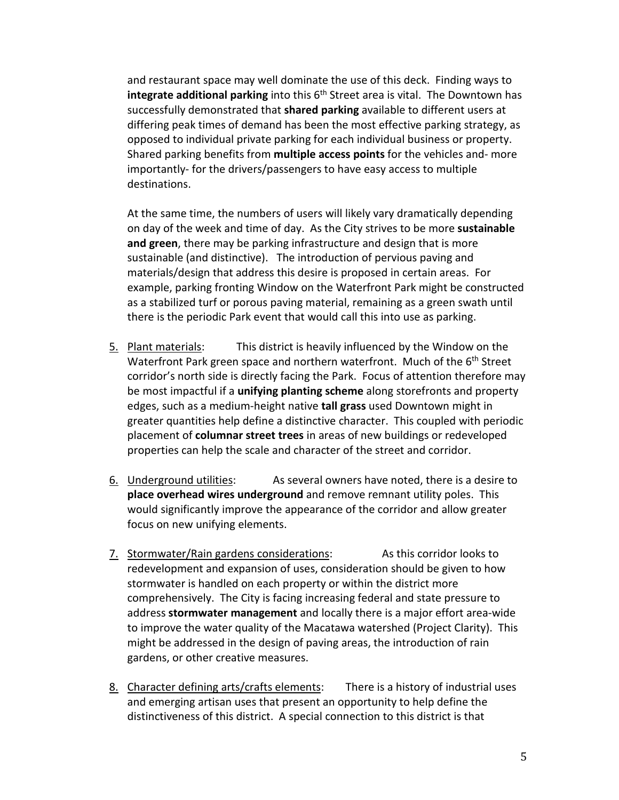and restaurant space may well dominate the use of this deck. Finding ways to **integrate additional parking** into this 6<sup>th</sup> Street area is vital. The Downtown has successfully demonstrated that **shared parking** available to different users at differing peak times of demand has been the most effective parking strategy, as opposed to individual private parking for each individual business or property. Shared parking benefits from **multiple access points** for the vehicles and- more importantly- for the drivers/passengers to have easy access to multiple destinations.

At the same time, the numbers of users will likely vary dramatically depending on day of the week and time of day. As the City strives to be more **sustainable and green**, there may be parking infrastructure and design that is more sustainable (and distinctive). The introduction of pervious paving and materials/design that address this desire is proposed in certain areas. For example, parking fronting Window on the Waterfront Park might be constructed as a stabilized turf or porous paving material, remaining as a green swath until there is the periodic Park event that would call this into use as parking.

- 5. Plant materials: This district is heavily influenced by the Window on the Waterfront Park green space and northern waterfront. Much of the 6<sup>th</sup> Street corridor's north side is directly facing the Park. Focus of attention therefore may be most impactful if a **unifying planting scheme** along storefronts and property edges, such as a medium-height native **tall grass** used Downtown might in greater quantities help define a distinctive character. This coupled with periodic placement of **columnar street trees** in areas of new buildings or redeveloped properties can help the scale and character of the street and corridor.
- 6. Underground utilities: As several owners have noted, there is a desire to **place overhead wires underground** and remove remnant utility poles. This would significantly improve the appearance of the corridor and allow greater focus on new unifying elements.
- 7. Stormwater/Rain gardens considerations: As this corridor looks to redevelopment and expansion of uses, consideration should be given to how stormwater is handled on each property or within the district more comprehensively. The City is facing increasing federal and state pressure to address **stormwater management** and locally there is a major effort area-wide to improve the water quality of the Macatawa watershed (Project Clarity). This might be addressed in the design of paving areas, the introduction of rain gardens, or other creative measures.
- 8. Character defining arts/crafts elements: There is a history of industrial uses and emerging artisan uses that present an opportunity to help define the distinctiveness of this district. A special connection to this district is that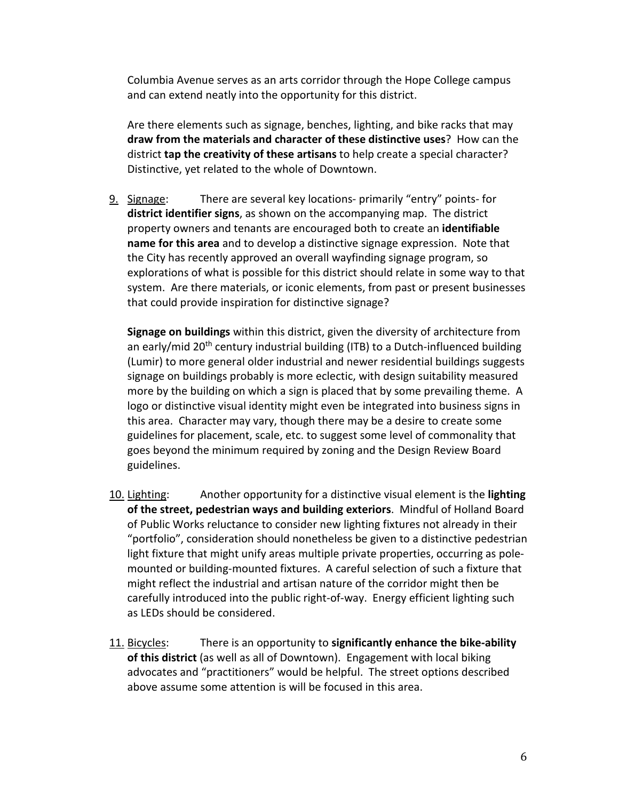Columbia Avenue serves as an arts corridor through the Hope College campus and can extend neatly into the opportunity for this district.

Are there elements such as signage, benches, lighting, and bike racks that may **draw from the materials and character of these distinctive uses**? How can the district **tap the creativity of these artisans** to help create a special character? Distinctive, yet related to the whole of Downtown.

9. Signage: There are several key locations- primarily "entry" points- for **district identifier signs**, as shown on the accompanying map. The district property owners and tenants are encouraged both to create an **identifiable name for this area** and to develop a distinctive signage expression. Note that the City has recently approved an overall wayfinding signage program, so explorations of what is possible for this district should relate in some way to that system. Are there materials, or iconic elements, from past or present businesses that could provide inspiration for distinctive signage?

**Signage on buildings** within this district, given the diversity of architecture from an early/mid 20<sup>th</sup> century industrial building (ITB) to a Dutch-influenced building (Lumir) to more general older industrial and newer residential buildings suggests signage on buildings probably is more eclectic, with design suitability measured more by the building on which a sign is placed that by some prevailing theme. A logo or distinctive visual identity might even be integrated into business signs in this area. Character may vary, though there may be a desire to create some guidelines for placement, scale, etc. to suggest some level of commonality that goes beyond the minimum required by zoning and the Design Review Board guidelines.

- 10. Lighting: Another opportunity for a distinctive visual element is the **lighting of the street, pedestrian ways and building exteriors**. Mindful of Holland Board of Public Works reluctance to consider new lighting fixtures not already in their "portfolio", consideration should nonetheless be given to a distinctive pedestrian light fixture that might unify areas multiple private properties, occurring as polemounted or building-mounted fixtures. A careful selection of such a fixture that might reflect the industrial and artisan nature of the corridor might then be carefully introduced into the public right-of-way. Energy efficient lighting such as LEDs should be considered.
- 11. Bicycles: There is an opportunity to **significantly enhance the bike-ability of this district** (as well as all of Downtown). Engagement with local biking advocates and "practitioners" would be helpful. The street options described above assume some attention is will be focused in this area.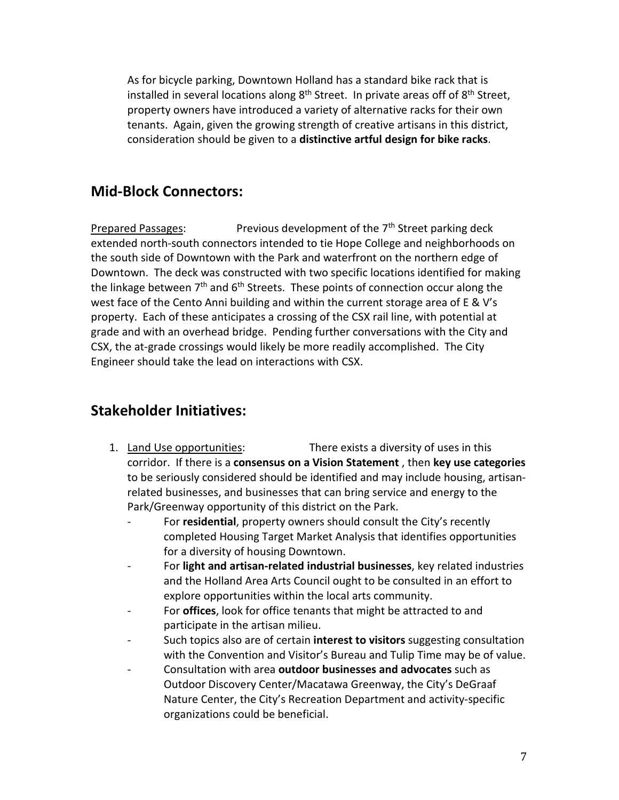As for bicycle parking, Downtown Holland has a standard bike rack that is installed in several locations along 8<sup>th</sup> Street. In private areas off of 8<sup>th</sup> Street, property owners have introduced a variety of alternative racks for their own tenants. Again, given the growing strength of creative artisans in this district, consideration should be given to a **distinctive artful design for bike racks**.

# **Mid-Block Connectors:**

Prepared Passages: Previous development of the 7<sup>th</sup> Street parking deck extended north-south connectors intended to tie Hope College and neighborhoods on the south side of Downtown with the Park and waterfront on the northern edge of Downtown. The deck was constructed with two specific locations identified for making the linkage between 7<sup>th</sup> and 6<sup>th</sup> Streets. These points of connection occur along the west face of the Cento Anni building and within the current storage area of E & V's property. Each of these anticipates a crossing of the CSX rail line, with potential at grade and with an overhead bridge. Pending further conversations with the City and CSX, the at-grade crossings would likely be more readily accomplished. The City Engineer should take the lead on interactions with CSX.

### **Stakeholder Initiatives:**

- 1. Land Use opportunities: There exists a diversity of uses in this corridor. If there is a **consensus on a Vision Statement** , then **key use categories** to be seriously considered should be identified and may include housing, artisanrelated businesses, and businesses that can bring service and energy to the Park/Greenway opportunity of this district on the Park.
	- For **residential**, property owners should consult the City's recently completed Housing Target Market Analysis that identifies opportunities for a diversity of housing Downtown.
	- For **light and artisan-related industrial businesses**, key related industries and the Holland Area Arts Council ought to be consulted in an effort to explore opportunities within the local arts community.
	- For **offices**, look for office tenants that might be attracted to and participate in the artisan milieu.
	- Such topics also are of certain **interest to visitors** suggesting consultation with the Convention and Visitor's Bureau and Tulip Time may be of value.
	- Consultation with area **outdoor businesses and advocates** such as Outdoor Discovery Center/Macatawa Greenway, the City's DeGraaf Nature Center, the City's Recreation Department and activity-specific organizations could be beneficial.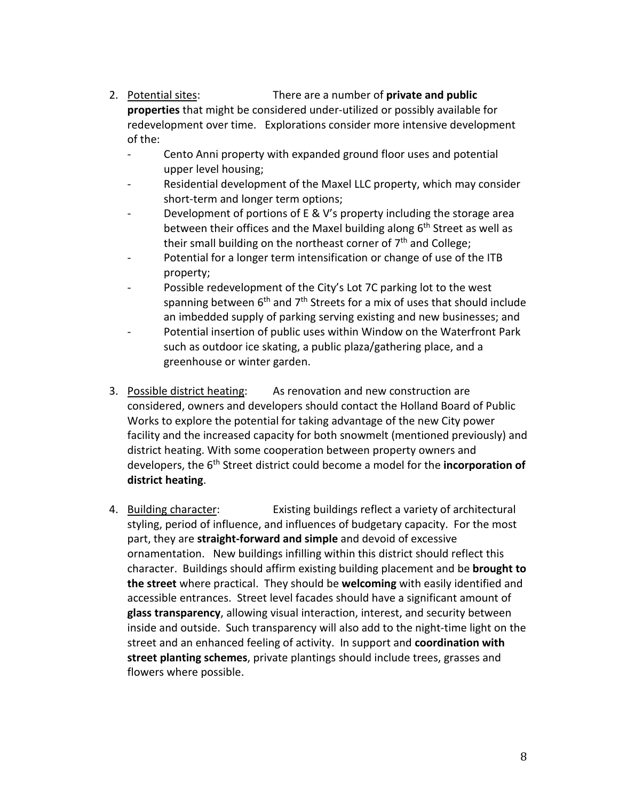- 2. Potential sites: There are a number of **private and public properties** that might be considered under-utilized or possibly available for redevelopment over time. Explorations consider more intensive development of the:
	- Cento Anni property with expanded ground floor uses and potential upper level housing;
	- Residential development of the Maxel LLC property, which may consider short-term and longer term options;
	- Development of portions of E & V's property including the storage area between their offices and the Maxel building along 6<sup>th</sup> Street as well as their small building on the northeast corner of  $7<sup>th</sup>$  and College;
	- Potential for a longer term intensification or change of use of the ITB property;
	- Possible redevelopment of the City's Lot 7C parking lot to the west spanning between  $6<sup>th</sup>$  and  $7<sup>th</sup>$  Streets for a mix of uses that should include an imbedded supply of parking serving existing and new businesses; and
	- Potential insertion of public uses within Window on the Waterfront Park such as outdoor ice skating, a public plaza/gathering place, and a greenhouse or winter garden.
- 3. Possible district heating: As renovation and new construction are considered, owners and developers should contact the Holland Board of Public Works to explore the potential for taking advantage of the new City power facility and the increased capacity for both snowmelt (mentioned previously) and district heating. With some cooperation between property owners and developers, the 6th Street district could become a model for the **incorporation of district heating**.
- 4. Building character: Existing buildings reflect a variety of architectural styling, period of influence, and influences of budgetary capacity. For the most part, they are **straight-forward and simple** and devoid of excessive ornamentation. New buildings infilling within this district should reflect this character. Buildings should affirm existing building placement and be **brought to the street** where practical. They should be **welcoming** with easily identified and accessible entrances. Street level facades should have a significant amount of **glass transparency**, allowing visual interaction, interest, and security between inside and outside. Such transparency will also add to the night-time light on the street and an enhanced feeling of activity. In support and **coordination with street planting schemes**, private plantings should include trees, grasses and flowers where possible.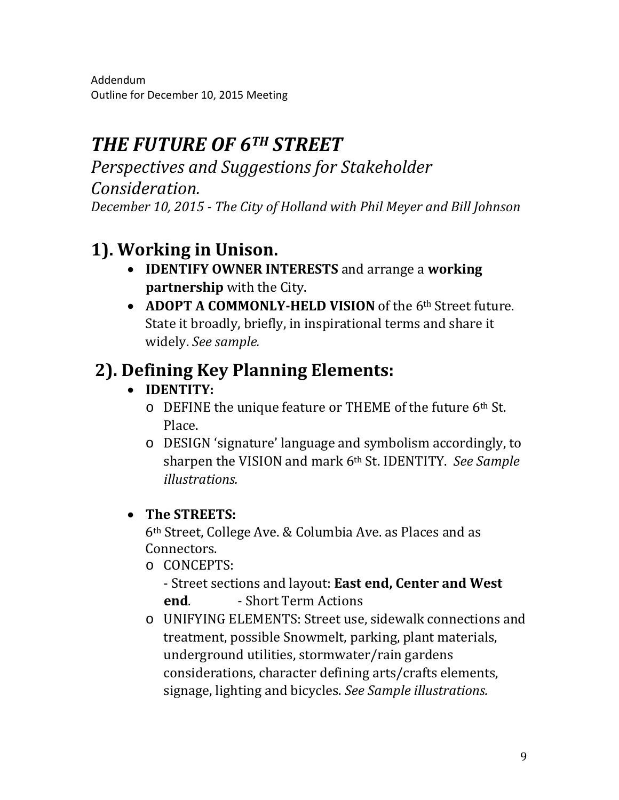Addendum Outline for December 10, 2015 Meeting

# *THE FUTURE OF 6TH STREET*

*Perspectives and Suggestions for Stakeholder Consideration. December 10, 2015 - The City of Holland with Phil Meyer and Bill Johnson*

# **1). Working in Unison.**

- **IDENTIFY OWNER INTERESTS** and arrange a **working partnership** with the City.
- **ADOPT A COMMONLY-HELD VISION** of the 6th Street future. State it broadly, briefly, in inspirational terms and share it widely. *See sample.*

# **2). Defining Key Planning Elements:**

- **IDENTITY:**
	- o DEFINE the unique feature or THEME of the future 6th St. Place.
	- o DESIGN 'signature' language and symbolism accordingly, to sharpen the VISION and mark 6th St. IDENTITY. *See Sample illustrations.*

# • **The STREETS:**

6th Street, College Ave. & Columbia Ave. as Places and as Connectors.

o CONCEPTS:

- Street sections and layout: **East end, Center and West end**. - Short Term Actions

o UNIFYING ELEMENTS: Street use, sidewalk connections and treatment, possible Snowmelt, parking, plant materials, underground utilities, stormwater/rain gardens considerations, character defining arts/crafts elements, signage, lighting and bicycles. *See Sample illustrations.*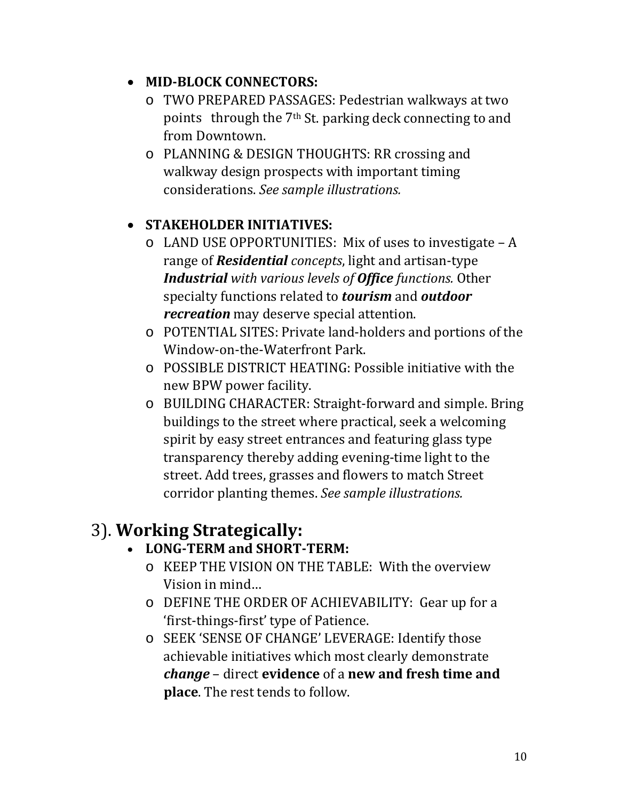## • **MID-BLOCK CONNECTORS:**

- o TWO PREPARED PASSAGES: Pedestrian walkways at two points through the 7<sup>th</sup> St. parking deck connecting to and from Downtown.
- o PLANNING & DESIGN THOUGHTS: RR crossing and walkway design prospects with important timing considerations. *See sample illustrations.*

# • **STAKEHOLDER INITIATIVES:**

- o LAND USE OPPORTUNITIES: Mix of uses to investigate A range of *Residential concepts*, light and artisan-type *Industrial with various levels of Office functions.* Other specialty functions related to *tourism* and *outdoor recreation* may deserve special attention.
- o POTENTIAL SITES: Private land-holders and portions of the Window-on-the-Waterfront Park.
- o POSSIBLE DISTRICT HEATING: Possible initiative with the new BPW power facility.
- o BUILDING CHARACTER: Straight-forward and simple. Bring buildings to the street where practical, seek a welcoming spirit by easy street entrances and featuring glass type transparency thereby adding evening-time light to the street. Add trees, grasses and flowers to match Street corridor planting themes. *See sample illustrations.*

# 3). **Working Strategically:** • **LONG-TERM and SHORT-TERM:**

- o KEEP THE VISION ON THE TABLE: With the overview Vision in mind…
- o DEFINE THE ORDER OF ACHIEVABILITY: Gear up for a 'first-things-first' type of Patience.
- o SEEK 'SENSE OF CHANGE' LEVERAGE: Identify those achievable initiatives which most clearly demonstrate *change* – direct **evidence** of a **new and fresh time and place**. The rest tends to follow.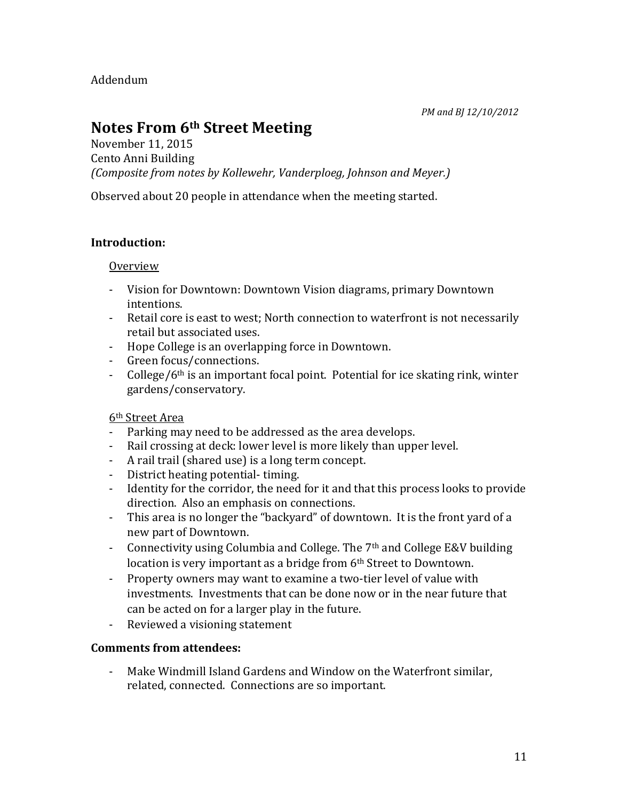Addendum

*PM and BJ 12/10/2012*

# **Notes From 6th Street Meeting**

November 11, 2015 Cento Anni Building *(Composite from notes by Kollewehr, Vanderploeg, Johnson and Meyer.)*

Observed about 20 people in attendance when the meeting started.

#### **Introduction:**

#### **Overview**

- Vision for Downtown: Downtown Vision diagrams, primary Downtown intentions.
- Retail core is east to west; North connection to waterfront is not necessarily retail but associated uses.
- Hope College is an overlapping force in Downtown.
- Green focus/connections.
- College/ $6<sup>th</sup>$  is an important focal point. Potential for ice skating rink, winter gardens/conservatory.

#### 6th Street Area

- Parking may need to be addressed as the area develops.
- Rail crossing at deck: lower level is more likely than upper level.
- A rail trail (shared use) is a long term concept.
- District heating potential- timing.
- Identity for the corridor, the need for it and that this process looks to provide direction. Also an emphasis on connections.
- This area is no longer the "backyard" of downtown. It is the front yard of a new part of Downtown.
- Connectivity using Columbia and College. The  $7<sup>th</sup>$  and College E&V building location is very important as a bridge from 6<sup>th</sup> Street to Downtown.
- Property owners may want to examine a two-tier level of value with investments. Investments that can be done now or in the near future that can be acted on for a larger play in the future.
- Reviewed a visioning statement

#### **Comments from attendees:**

Make Windmill Island Gardens and Window on the Waterfront similar, related, connected. Connections are so important.